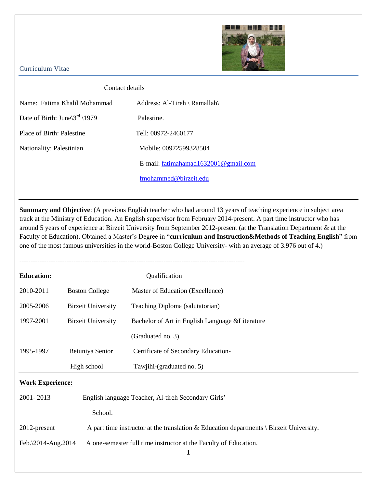

## Curriculum Vitae

## Contact details

| Name: Fatima Khalil Mohammad       | Address: Al-Tireh \ Ramallah\           |
|------------------------------------|-----------------------------------------|
| Date of Birth: June $3^{rd}$ \1979 | Palestine.                              |
| Place of Birth: Palestine          | Tell: 00972-2460177                     |
| Nationality: Palestinian           | Mobile: 00972599328504                  |
|                                    | E-mail: $fationalanad1632001@gmail.com$ |
|                                    | fmohammed@birzeit.edu                   |

**Summary and Objective**: (A previous English teacher who had around 13 years of teaching experience in subject area track at the Ministry of Education. An English supervisor from February 2014-present. A part time instructor who has around 5 years of experience at Birzeit University from September 2012-present (at the Translation Department & at the Faculty of Education). Obtained a Master's Degree in "**curriculum and Instruction&Methods of Teaching English**" from one of the most famous universities in the world-Boston College University- with an average of 3.976 out of 4.)

| <b>Education:</b>                                                                                               |                                                                                        | Qualification                                    |  |
|-----------------------------------------------------------------------------------------------------------------|----------------------------------------------------------------------------------------|--------------------------------------------------|--|
| 2010-2011                                                                                                       | <b>Boston College</b>                                                                  | Master of Education (Excellence)                 |  |
| 2005-2006                                                                                                       | <b>Birzeit University</b>                                                              | Teaching Diploma (salutatorian)                  |  |
| 1997-2001                                                                                                       | <b>Birzeit University</b>                                                              | Bachelor of Art in English Language & Literature |  |
|                                                                                                                 |                                                                                        | (Graduated no. 3)                                |  |
| 1995-1997                                                                                                       | Betuniya Senior                                                                        | Certificate of Secondary Education-              |  |
|                                                                                                                 | High school                                                                            | Tawjihi-(graduated no. 5)                        |  |
| <b>Work Experience:</b>                                                                                         |                                                                                        |                                                  |  |
| 2001-2013<br>English language Teacher, Al-tireh Secondary Girls'                                                |                                                                                        |                                                  |  |
|                                                                                                                 | School.                                                                                |                                                  |  |
| 2012-present<br>A part time instructor at the translation & Education departments $\langle$ Birzeit University. |                                                                                        |                                                  |  |
|                                                                                                                 | Feb.\2014-Aug.2014<br>A one-semester full time instructor at the Faculty of Education. |                                                  |  |
|                                                                                                                 |                                                                                        | 1                                                |  |